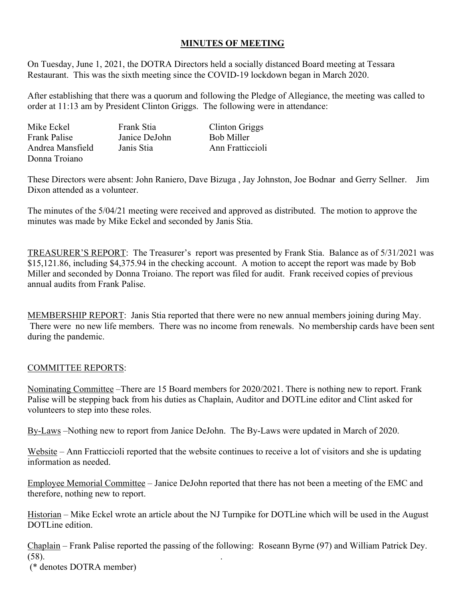## **MINUTES OF MEETING**

On Tuesday, June 1, 2021, the DOTRA Directors held a socially distanced Board meeting at Tessara Restaurant. This was the sixth meeting since the COVID-19 lockdown began in March 2020.

After establishing that there was a quorum and following the Pledge of Allegiance, the meeting was called to order at 11:13 am by President Clinton Griggs. The following were in attendance:

| Mike Eckel          | Frank Stia    | Clinton Griggs    |
|---------------------|---------------|-------------------|
| <b>Frank Palise</b> | Janice DeJohn | <b>Bob Miller</b> |
| Andrea Mansfield    | Janis Stia    | Ann Fratticcioli  |
| Donna Troiano       |               |                   |

These Directors were absent: John Raniero, Dave Bizuga , Jay Johnston, Joe Bodnar and Gerry Sellner. Jim Dixon attended as a volunteer.

The minutes of the 5/04/21 meeting were received and approved as distributed. The motion to approve the minutes was made by Mike Eckel and seconded by Janis Stia.

TREASURER'S REPORT: The Treasurer's report was presented by Frank Stia. Balance as of 5/31/2021 was \$15,121.86, including \$4,375.94 in the checking account. A motion to accept the report was made by Bob Miller and seconded by Donna Troiano. The report was filed for audit. Frank received copies of previous annual audits from Frank Palise.

MEMBERSHIP REPORT: Janis Stia reported that there were no new annual members joining during May. There were no new life members. There was no income from renewals. No membership cards have been sent during the pandemic.

## COMMITTEE REPORTS:

Nominating Committee –There are 15 Board members for 2020/2021. There is nothing new to report. Frank Palise will be stepping back from his duties as Chaplain, Auditor and DOTLine editor and Clint asked for volunteers to step into these roles.

By-Laws –Nothing new to report from Janice DeJohn. The By-Laws were updated in March of 2020.

Website – Ann Fratticcioli reported that the website continues to receive a lot of visitors and she is updating information as needed.

Employee Memorial Committee – Janice DeJohn reported that there has not been a meeting of the EMC and therefore, nothing new to report.

Historian – Mike Eckel wrote an article about the NJ Turnpike for DOTLine which will be used in the August DOTLine edition.

Chaplain – Frank Palise reported the passing of the following: Roseann Byrne (97) and William Patrick Dey. (58). .

(\* denotes DOTRA member)